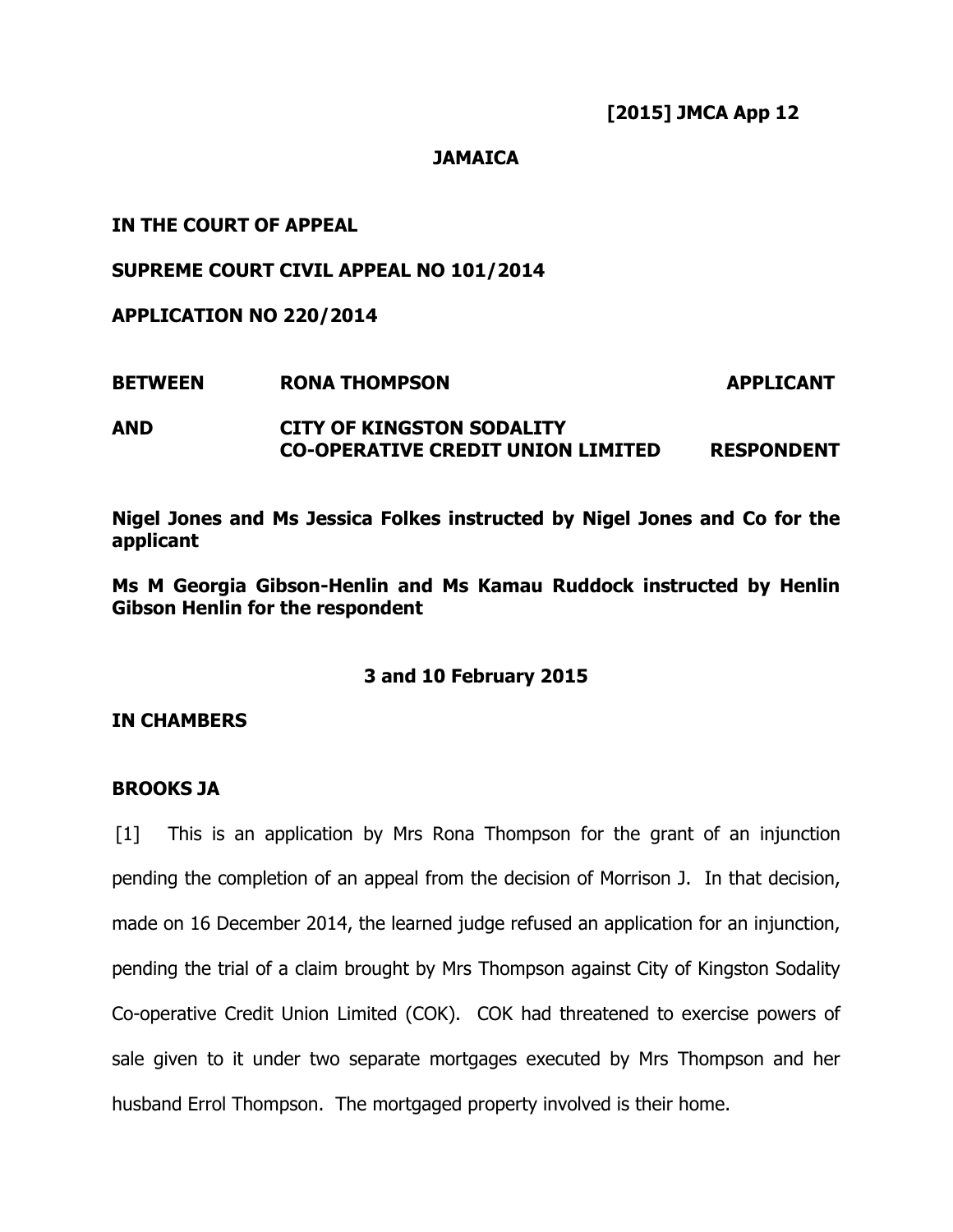**[2015] JMCA App 12** 

## **JAMAICA**

# **IN THE COURT OF APPEAL**

## **SUPREME COURT CIVIL APPEAL NO 101/2014**

**APPLICATION NO 220/2014** 

**BETWEEN RONA THOMPSON APPLICANT AND CITY OF KINGSTON SODALITY CO-OPERATIVE CREDIT UNION LIMITED RESPONDENT** 

**Nigel Jones and Ms Jessica Folkes instructed by Nigel Jones and Co for the applicant** 

**Ms M Georgia Gibson-Henlin and Ms Kamau Ruddock instructed by Henlin Gibson Henlin for the respondent** 

# **3 and 10 February 2015**

## **IN CHAMBERS**

## **BROOKS JA**

[1] This is an application by Mrs Rona Thompson for the grant of an injunction pending the completion of an appeal from the decision of Morrison J. In that decision, made on 16 December 2014, the learned judge refused an application for an injunction, pending the trial of a claim brought by Mrs Thompson against City of Kingston Sodality Co-operative Credit Union Limited (COK). COK had threatened to exercise powers of sale given to it under two separate mortgages executed by Mrs Thompson and her husband Errol Thompson. The mortgaged property involved is their home.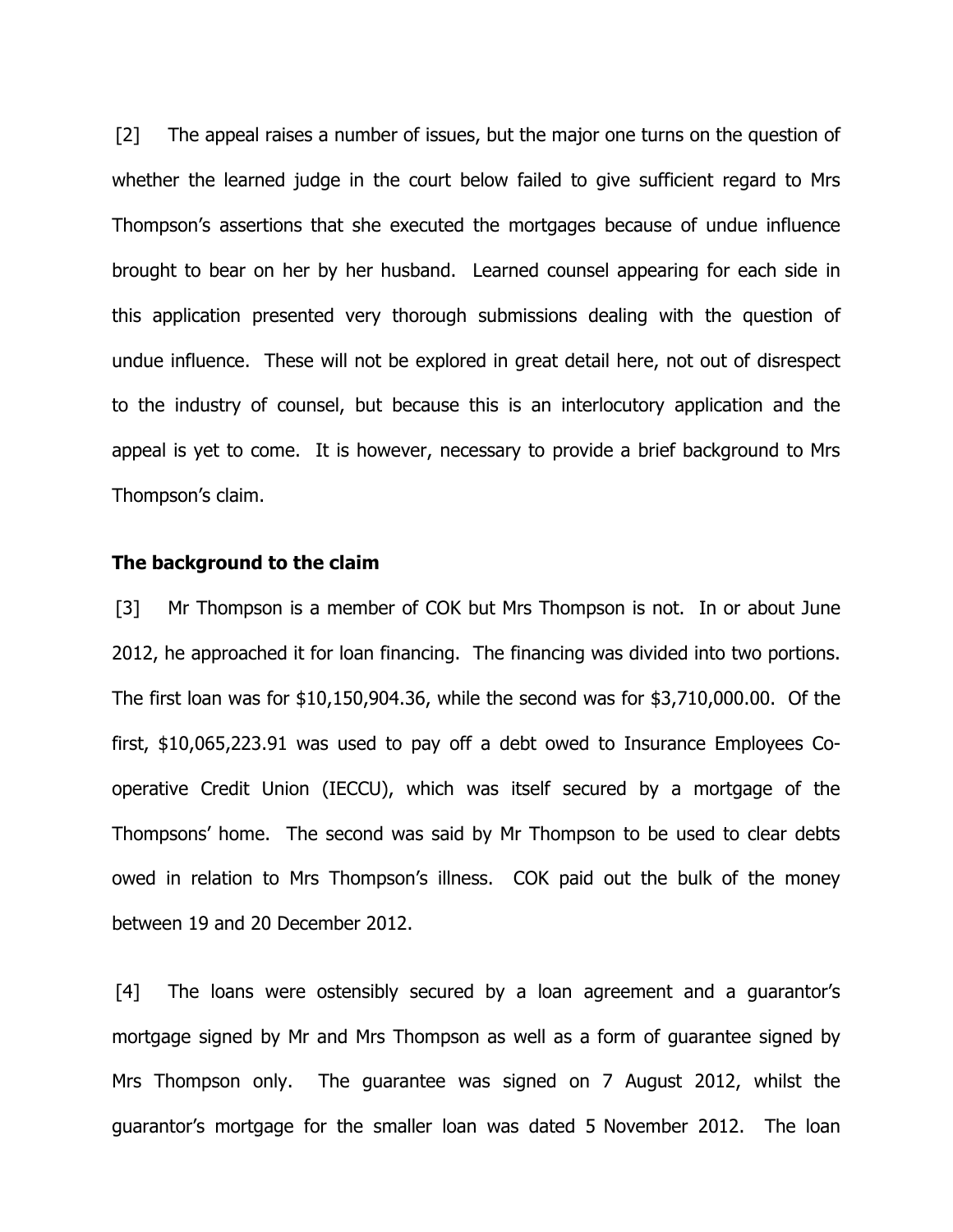[2] The appeal raises a number of issues, but the major one turns on the question of whether the learned judge in the court below failed to give sufficient regard to Mrs Thompson's assertions that she executed the mortgages because of undue influence brought to bear on her by her husband. Learned counsel appearing for each side in this application presented very thorough submissions dealing with the question of undue influence. These will not be explored in great detail here, not out of disrespect to the industry of counsel, but because this is an interlocutory application and the appeal is yet to come. It is however, necessary to provide a brief background to Mrs Thompson's claim.

#### **The background to the claim**

[3] Mr Thompson is a member of COK but Mrs Thompson is not. In or about June 2012, he approached it for loan financing. The financing was divided into two portions. The first loan was for \$10,150,904.36, while the second was for \$3,710,000.00. Of the first, \$10,065,223.91 was used to pay off a debt owed to Insurance Employees Cooperative Credit Union (IECCU), which was itself secured by a mortgage of the Thompsons' home. The second was said by Mr Thompson to be used to clear debts owed in relation to Mrs Thompson's illness. COK paid out the bulk of the money between 19 and 20 December 2012.

[4] The loans were ostensibly secured by a loan agreement and a guarantor's mortgage signed by Mr and Mrs Thompson as well as a form of guarantee signed by Mrs Thompson only. The guarantee was signed on 7 August 2012, whilst the guarantor's mortgage for the smaller loan was dated 5 November 2012. The loan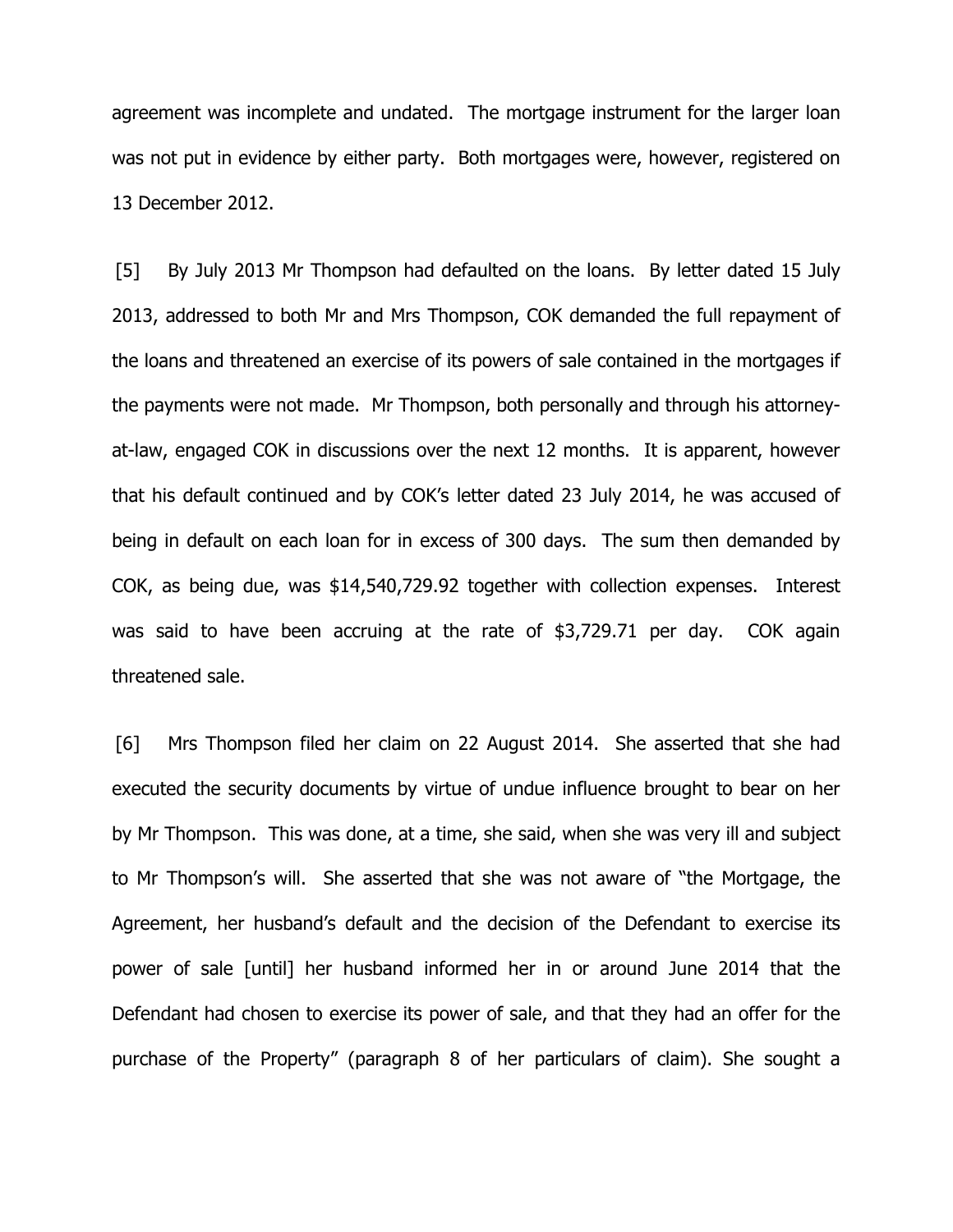agreement was incomplete and undated. The mortgage instrument for the larger loan was not put in evidence by either party. Both mortgages were, however, registered on 13 December 2012.

[5] By July 2013 Mr Thompson had defaulted on the loans. By letter dated 15 July 2013, addressed to both Mr and Mrs Thompson, COK demanded the full repayment of the loans and threatened an exercise of its powers of sale contained in the mortgages if the payments were not made. Mr Thompson, both personally and through his attorneyat-law, engaged COK in discussions over the next 12 months. It is apparent, however that his default continued and by COK's letter dated 23 July 2014, he was accused of being in default on each loan for in excess of 300 days. The sum then demanded by COK, as being due, was \$14,540,729.92 together with collection expenses. Interest was said to have been accruing at the rate of \$3,729.71 per day. COK again threatened sale.

[6] Mrs Thompson filed her claim on 22 August 2014. She asserted that she had executed the security documents by virtue of undue influence brought to bear on her by Mr Thompson. This was done, at a time, she said, when she was very ill and subject to Mr Thompson's will. She asserted that she was not aware of "the Mortgage, the Agreement, her husband's default and the decision of the Defendant to exercise its power of sale [until] her husband informed her in or around June 2014 that the Defendant had chosen to exercise its power of sale, and that they had an offer for the purchase of the Property" (paragraph 8 of her particulars of claim). She sought a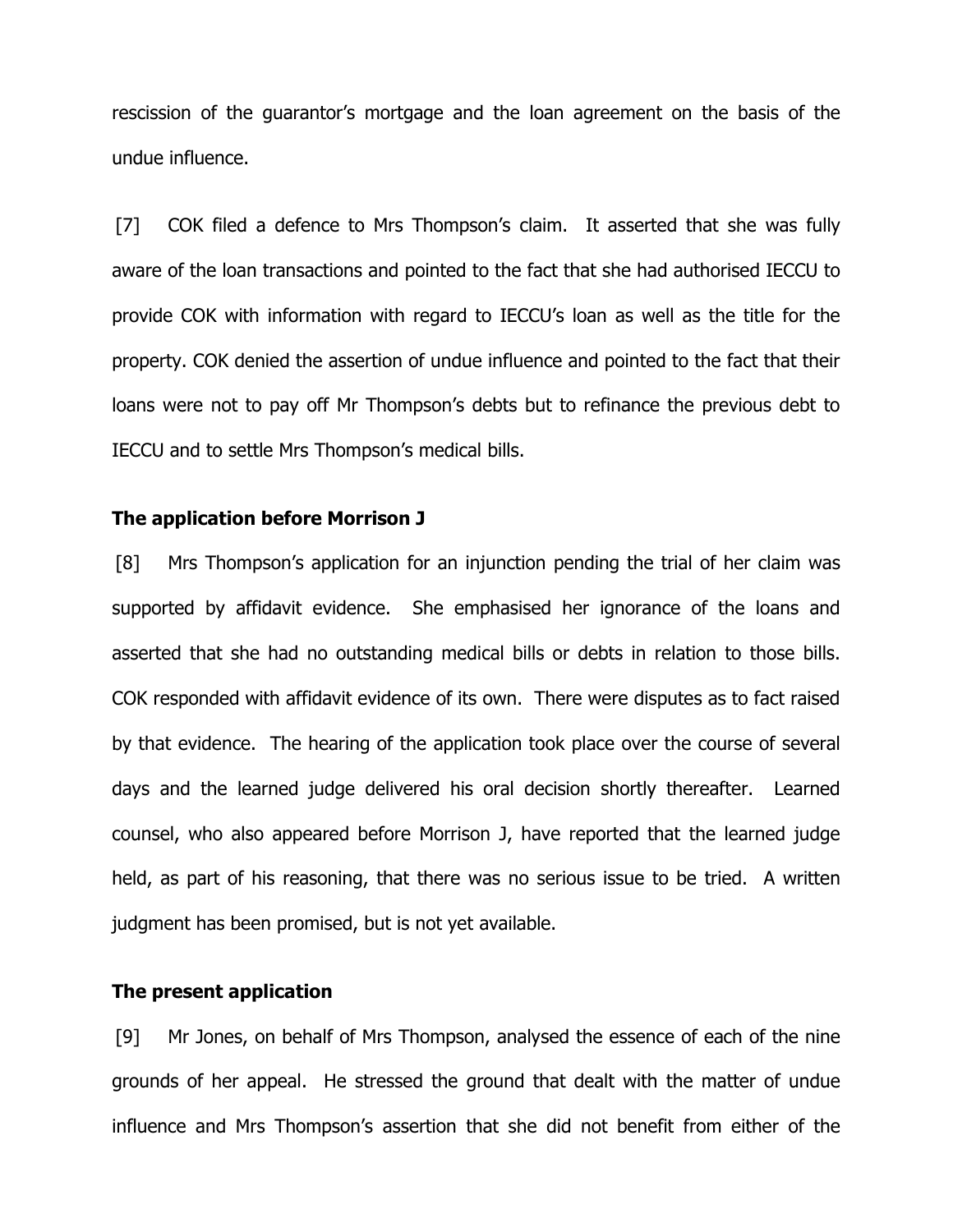rescission of the guarantor's mortgage and the loan agreement on the basis of the undue influence.

[7] COK filed a defence to Mrs Thompson's claim. It asserted that she was fully aware of the loan transactions and pointed to the fact that she had authorised IECCU to provide COK with information with regard to IECCU's loan as well as the title for the property. COK denied the assertion of undue influence and pointed to the fact that their loans were not to pay off Mr Thompson's debts but to refinance the previous debt to IECCU and to settle Mrs Thompson's medical bills.

## **The application before Morrison J**

[8] Mrs Thompson's application for an injunction pending the trial of her claim was supported by affidavit evidence. She emphasised her ignorance of the loans and asserted that she had no outstanding medical bills or debts in relation to those bills. COK responded with affidavit evidence of its own. There were disputes as to fact raised by that evidence. The hearing of the application took place over the course of several days and the learned judge delivered his oral decision shortly thereafter. Learned counsel, who also appeared before Morrison J, have reported that the learned judge held, as part of his reasoning, that there was no serious issue to be tried. A written judgment has been promised, but is not yet available.

#### **The present application**

[9] Mr Jones, on behalf of Mrs Thompson, analysed the essence of each of the nine grounds of her appeal. He stressed the ground that dealt with the matter of undue influence and Mrs Thompson's assertion that she did not benefit from either of the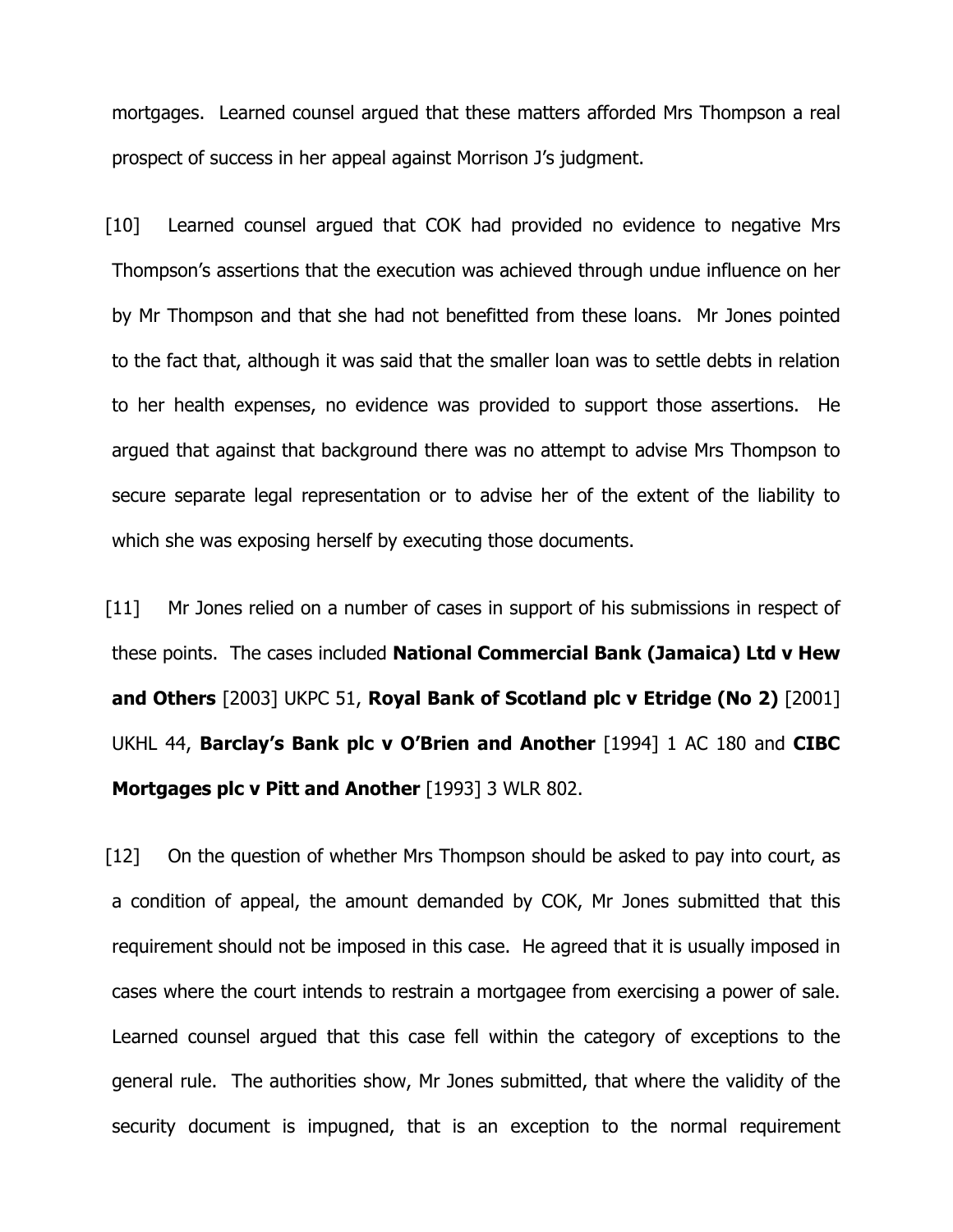mortgages. Learned counsel argued that these matters afforded Mrs Thompson a real prospect of success in her appeal against Morrison J's judgment.

[10] Learned counsel argued that COK had provided no evidence to negative Mrs Thompson's assertions that the execution was achieved through undue influence on her by Mr Thompson and that she had not benefitted from these loans. Mr Jones pointed to the fact that, although it was said that the smaller loan was to settle debts in relation to her health expenses, no evidence was provided to support those assertions. He argued that against that background there was no attempt to advise Mrs Thompson to secure separate legal representation or to advise her of the extent of the liability to which she was exposing herself by executing those documents.

[11] Mr Jones relied on a number of cases in support of his submissions in respect of these points. The cases included **National Commercial Bank (Jamaica) Ltd v Hew and Others** [2003] UKPC 51, **Royal Bank of Scotland plc v Etridge (No 2)** [2001] UKHL 44, **Barclay's Bank plc v O'Brien and Another** [1994] 1 AC 180 and **CIBC Mortgages plc v Pitt and Another** [1993] 3 WLR 802.

[12] On the question of whether Mrs Thompson should be asked to pay into court, as a condition of appeal, the amount demanded by COK, Mr Jones submitted that this requirement should not be imposed in this case. He agreed that it is usually imposed in cases where the court intends to restrain a mortgagee from exercising a power of sale. Learned counsel argued that this case fell within the category of exceptions to the general rule. The authorities show, Mr Jones submitted, that where the validity of the security document is impugned, that is an exception to the normal requirement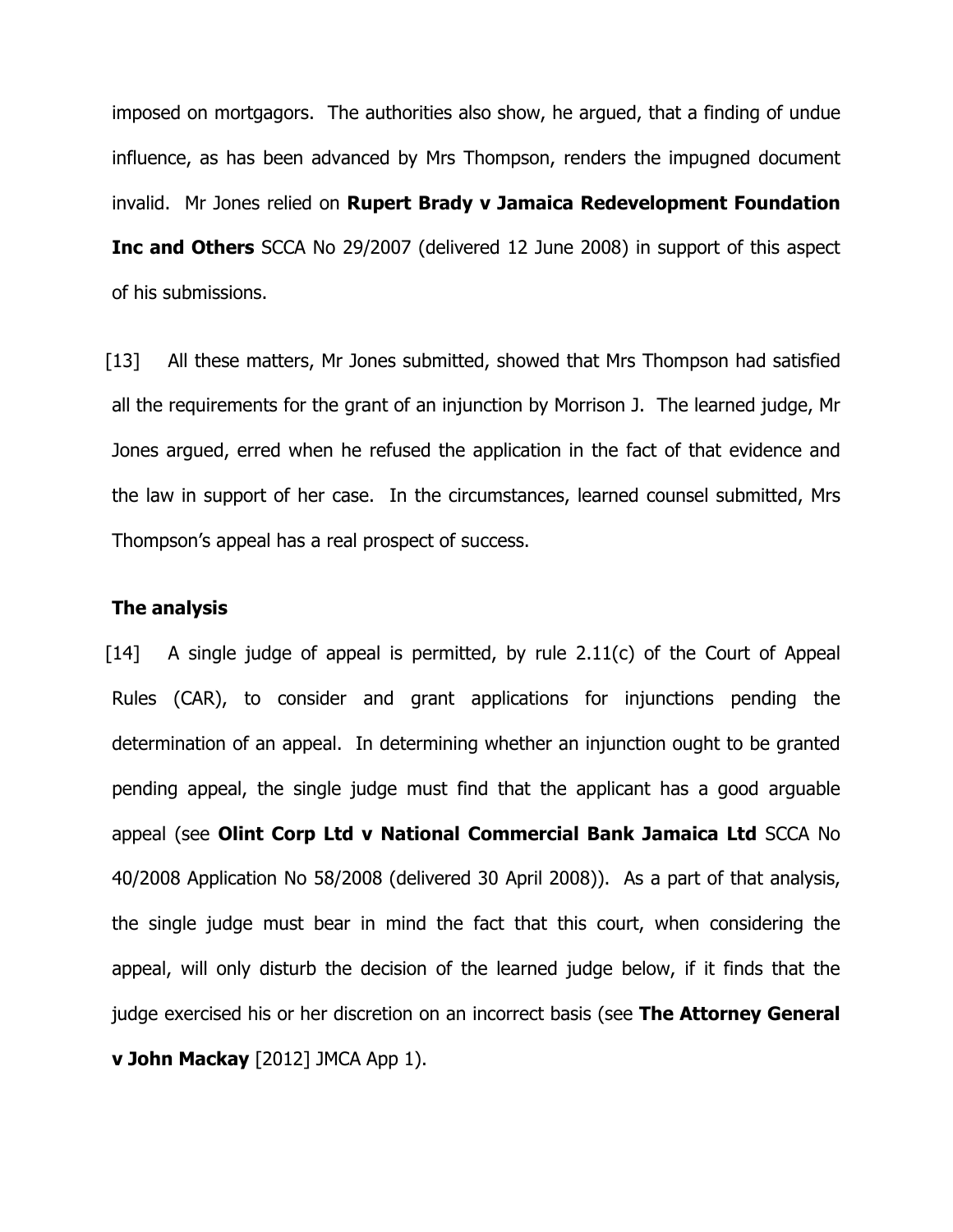imposed on mortgagors. The authorities also show, he argued, that a finding of undue influence, as has been advanced by Mrs Thompson, renders the impugned document invalid. Mr Jones relied on **Rupert Brady v Jamaica Redevelopment Foundation Inc and Others** SCCA No 29/2007 (delivered 12 June 2008) in support of this aspect of his submissions.

[13] All these matters, Mr Jones submitted, showed that Mrs Thompson had satisfied all the requirements for the grant of an injunction by Morrison J. The learned judge, Mr Jones argued, erred when he refused the application in the fact of that evidence and the law in support of her case. In the circumstances, learned counsel submitted, Mrs Thompson's appeal has a real prospect of success.

### **The analysis**

 $[14]$  A single judge of appeal is permitted, by rule 2.11(c) of the Court of Appeal Rules (CAR), to consider and grant applications for injunctions pending the determination of an appeal. In determining whether an injunction ought to be granted pending appeal, the single judge must find that the applicant has a good arguable appeal (see **Olint Corp Ltd v National Commercial Bank Jamaica Ltd** SCCA No 40/2008 Application No 58/2008 (delivered 30 April 2008)). As a part of that analysis, the single judge must bear in mind the fact that this court, when considering the appeal, will only disturb the decision of the learned judge below, if it finds that the judge exercised his or her discretion on an incorrect basis (see **The Attorney General v John Mackay** [2012] JMCA App 1).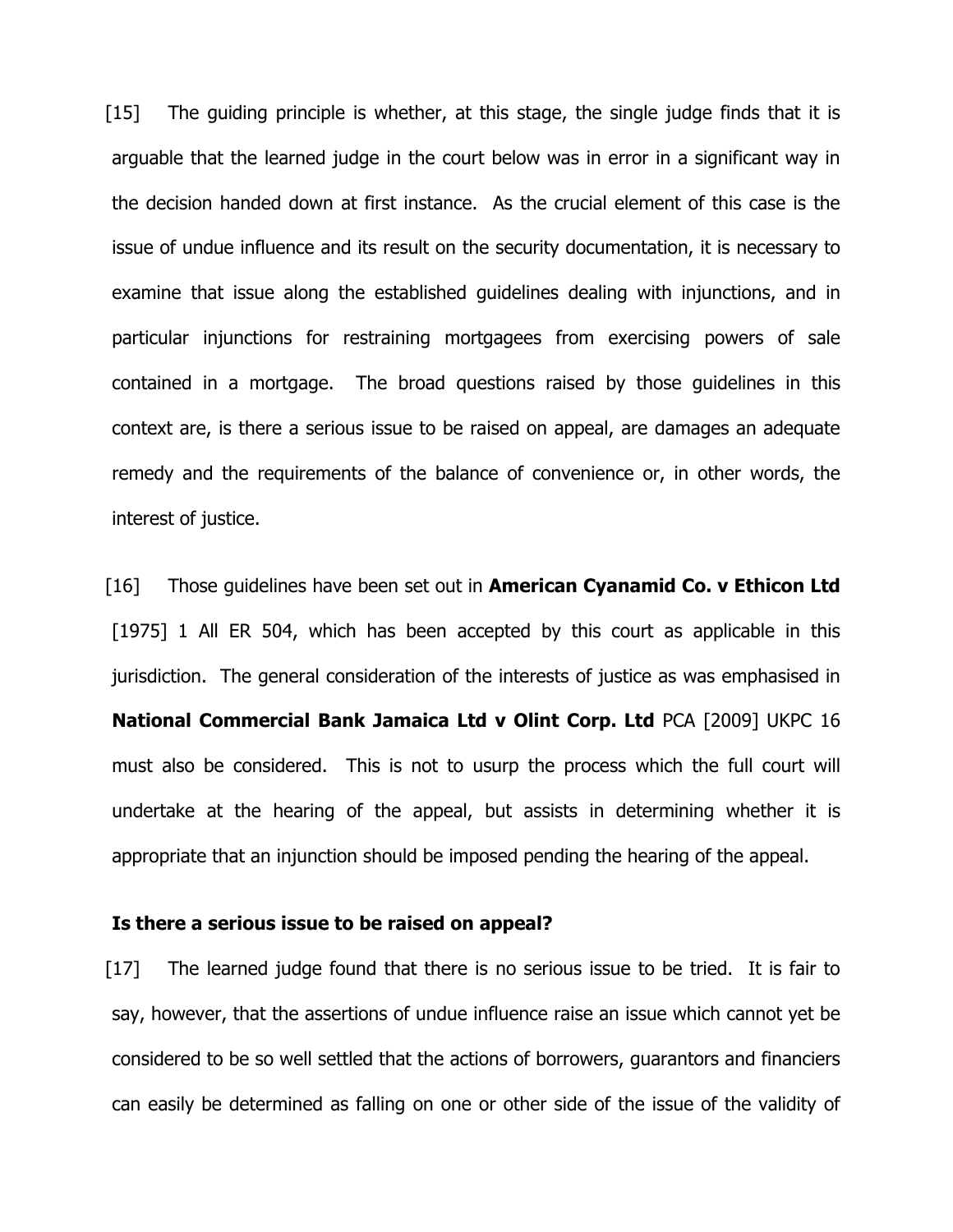[15] The guiding principle is whether, at this stage, the single judge finds that it is arguable that the learned judge in the court below was in error in a significant way in the decision handed down at first instance. As the crucial element of this case is the issue of undue influence and its result on the security documentation, it is necessary to examine that issue along the established guidelines dealing with injunctions, and in particular injunctions for restraining mortgagees from exercising powers of sale contained in a mortgage. The broad questions raised by those guidelines in this context are, is there a serious issue to be raised on appeal, are damages an adequate remedy and the requirements of the balance of convenience or, in other words, the interest of justice.

[16] Those guidelines have been set out in **American Cyanamid Co. v Ethicon Ltd** [1975] 1 All ER 504, which has been accepted by this court as applicable in this jurisdiction. The general consideration of the interests of justice as was emphasised in **National Commercial Bank Jamaica Ltd v Olint Corp. Ltd** PCA [2009] UKPC 16 must also be considered. This is not to usurp the process which the full court will undertake at the hearing of the appeal, but assists in determining whether it is appropriate that an injunction should be imposed pending the hearing of the appeal.

## **Is there a serious issue to be raised on appeal?**

[17] The learned judge found that there is no serious issue to be tried. It is fair to say, however, that the assertions of undue influence raise an issue which cannot yet be considered to be so well settled that the actions of borrowers, guarantors and financiers can easily be determined as falling on one or other side of the issue of the validity of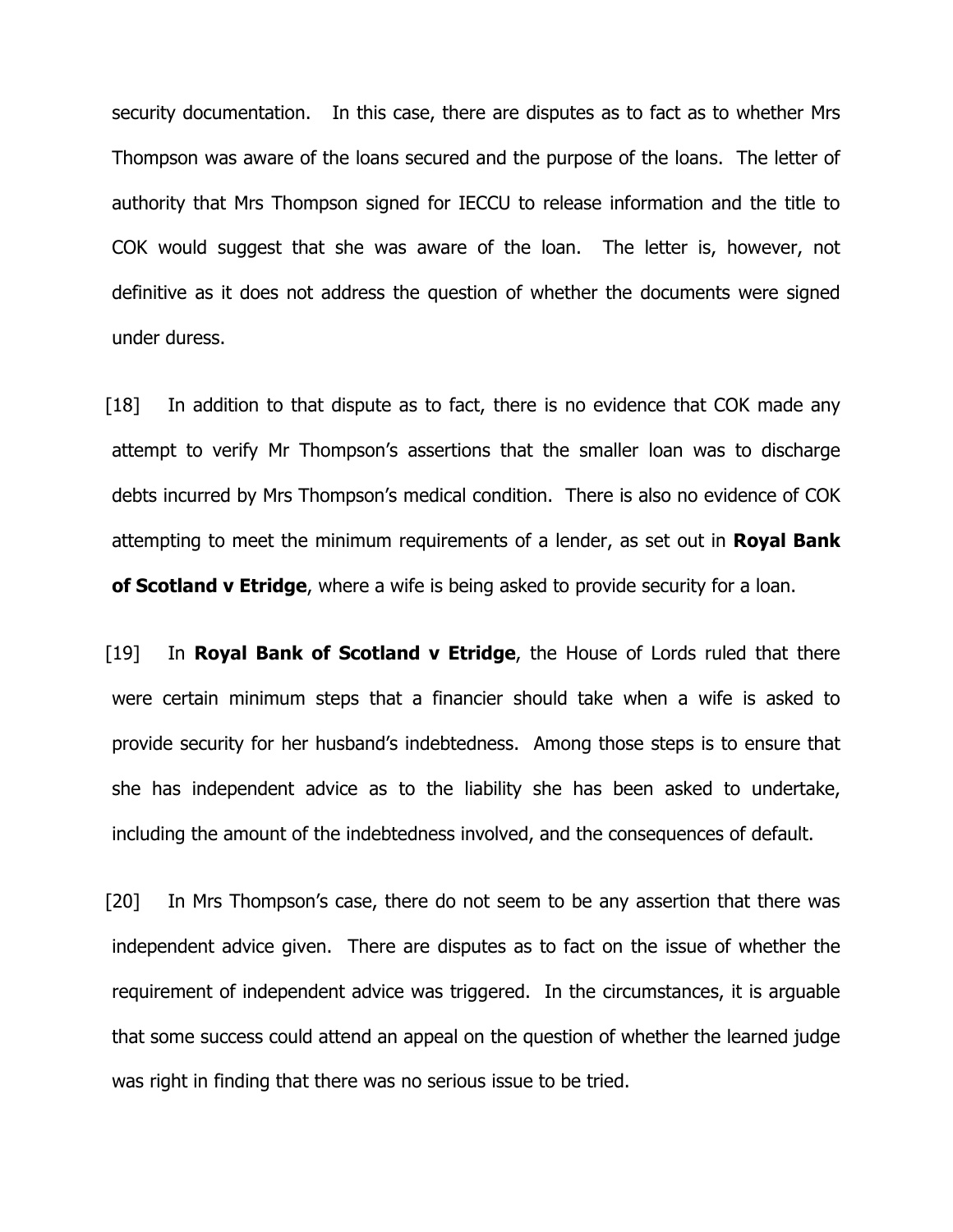security documentation. In this case, there are disputes as to fact as to whether Mrs Thompson was aware of the loans secured and the purpose of the loans. The letter of authority that Mrs Thompson signed for IECCU to release information and the title to COK would suggest that she was aware of the loan. The letter is, however, not definitive as it does not address the question of whether the documents were signed under duress.

[18] In addition to that dispute as to fact, there is no evidence that COK made any attempt to verify Mr Thompson's assertions that the smaller loan was to discharge debts incurred by Mrs Thompson's medical condition. There is also no evidence of COK attempting to meet the minimum requirements of a lender, as set out in **Royal Bank of Scotland v Etridge**, where a wife is being asked to provide security for a loan.

[19] In **Royal Bank of Scotland v Etridge**, the House of Lords ruled that there were certain minimum steps that a financier should take when a wife is asked to provide security for her husband's indebtedness. Among those steps is to ensure that she has independent advice as to the liability she has been asked to undertake, including the amount of the indebtedness involved, and the consequences of default.

[20] In Mrs Thompson's case, there do not seem to be any assertion that there was independent advice given. There are disputes as to fact on the issue of whether the requirement of independent advice was triggered. In the circumstances, it is arguable that some success could attend an appeal on the question of whether the learned judge was right in finding that there was no serious issue to be tried.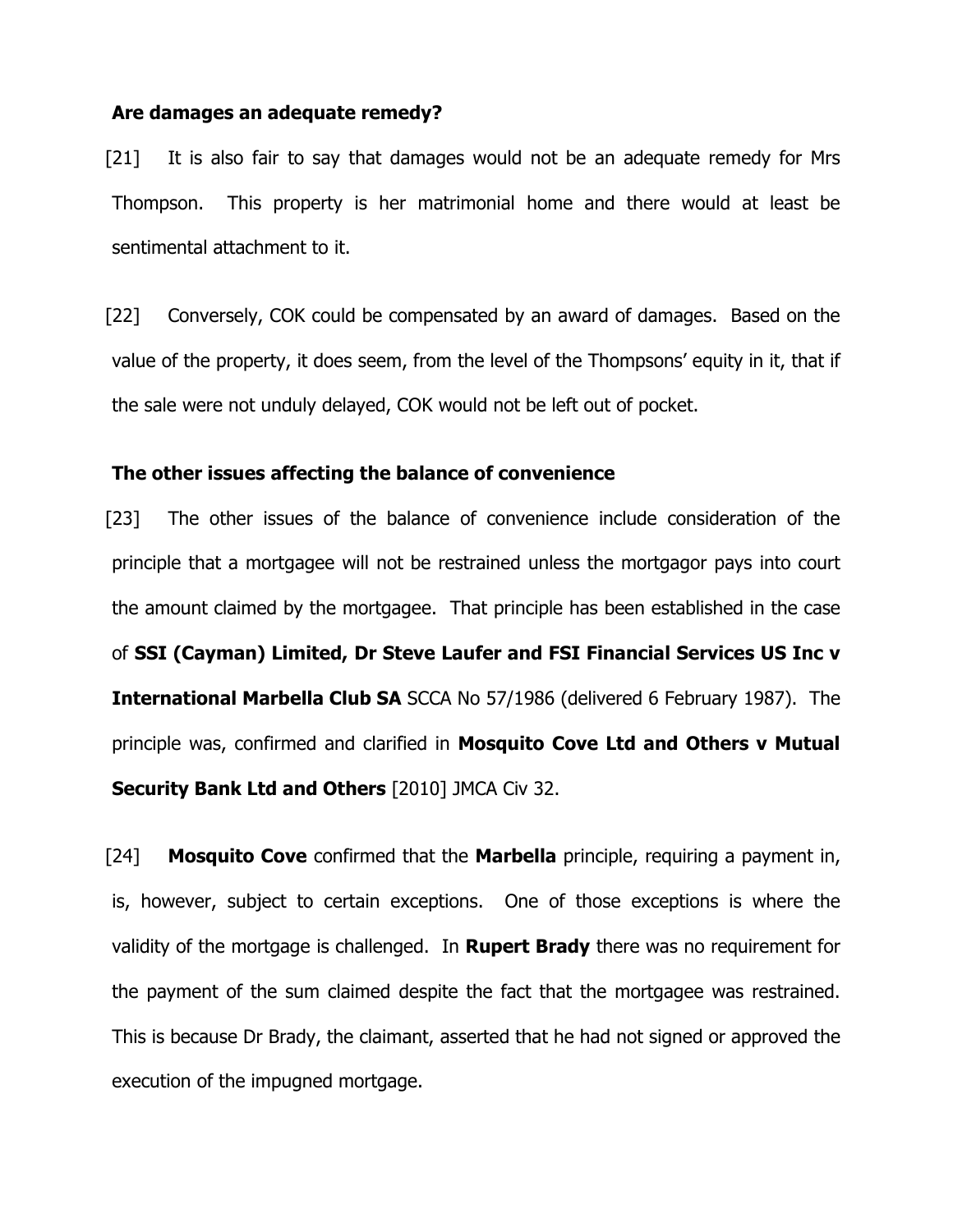### **Are damages an adequate remedy?**

[21] It is also fair to say that damages would not be an adequate remedy for Mrs Thompson. This property is her matrimonial home and there would at least be sentimental attachment to it.

[22] Conversely, COK could be compensated by an award of damages. Based on the value of the property, it does seem, from the level of the Thompsons' equity in it, that if the sale were not unduly delayed, COK would not be left out of pocket.

## **The other issues affecting the balance of convenience**

[23] The other issues of the balance of convenience include consideration of the principle that a mortgagee will not be restrained unless the mortgagor pays into court the amount claimed by the mortgagee. That principle has been established in the case of **SSI (Cayman) Limited, Dr Steve Laufer and FSI Financial Services US Inc v International Marbella Club SA** SCCA No 57/1986 (delivered 6 February 1987). The principle was, confirmed and clarified in **Mosquito Cove Ltd and Others v Mutual Security Bank Ltd and Others** [2010] JMCA Civ 32.

[24] **Mosquito Cove** confirmed that the **Marbella** principle, requiring a payment in, is, however, subject to certain exceptions. One of those exceptions is where the validity of the mortgage is challenged. In **Rupert Brady** there was no requirement for the payment of the sum claimed despite the fact that the mortgagee was restrained. This is because Dr Brady, the claimant, asserted that he had not signed or approved the execution of the impugned mortgage.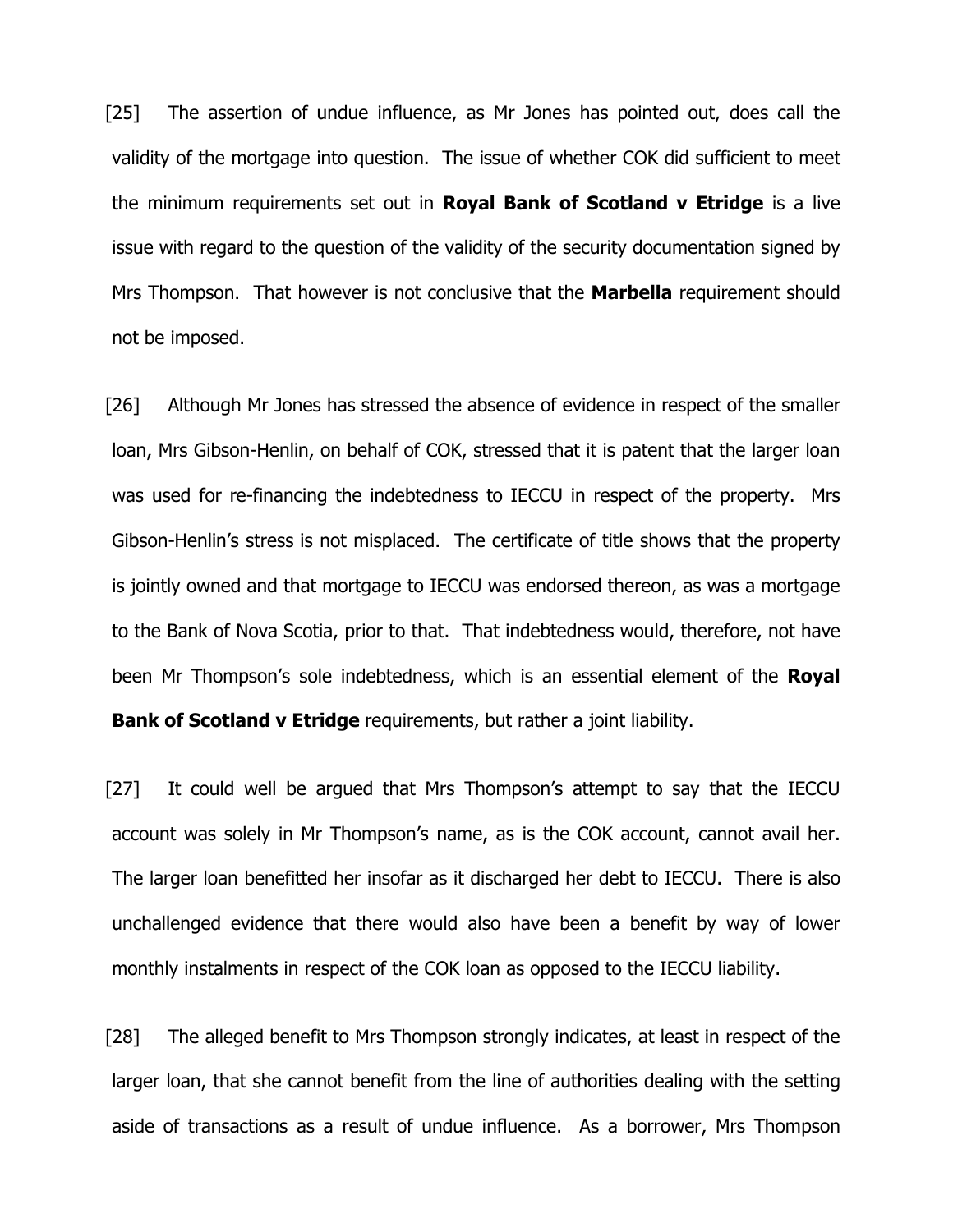[25] The assertion of undue influence, as Mr Jones has pointed out, does call the validity of the mortgage into question. The issue of whether COK did sufficient to meet the minimum requirements set out in **Royal Bank of Scotland v Etridge** is a live issue with regard to the question of the validity of the security documentation signed by Mrs Thompson. That however is not conclusive that the **Marbella** requirement should not be imposed.

[26] Although Mr Jones has stressed the absence of evidence in respect of the smaller loan, Mrs Gibson-Henlin, on behalf of COK, stressed that it is patent that the larger loan was used for re-financing the indebtedness to IECCU in respect of the property. Mrs Gibson-Henlin's stress is not misplaced. The certificate of title shows that the property is jointly owned and that mortgage to IECCU was endorsed thereon, as was a mortgage to the Bank of Nova Scotia, prior to that. That indebtedness would, therefore, not have been Mr Thompson's sole indebtedness, which is an essential element of the **Royal Bank of Scotland v Etridge** requirements, but rather a joint liability.

[27] It could well be argued that Mrs Thompson's attempt to say that the IECCU account was solely in Mr Thompson's name, as is the COK account, cannot avail her. The larger loan benefitted her insofar as it discharged her debt to IECCU. There is also unchallenged evidence that there would also have been a benefit by way of lower monthly instalments in respect of the COK loan as opposed to the IECCU liability.

[28] The alleged benefit to Mrs Thompson strongly indicates, at least in respect of the larger loan, that she cannot benefit from the line of authorities dealing with the setting aside of transactions as a result of undue influence. As a borrower, Mrs Thompson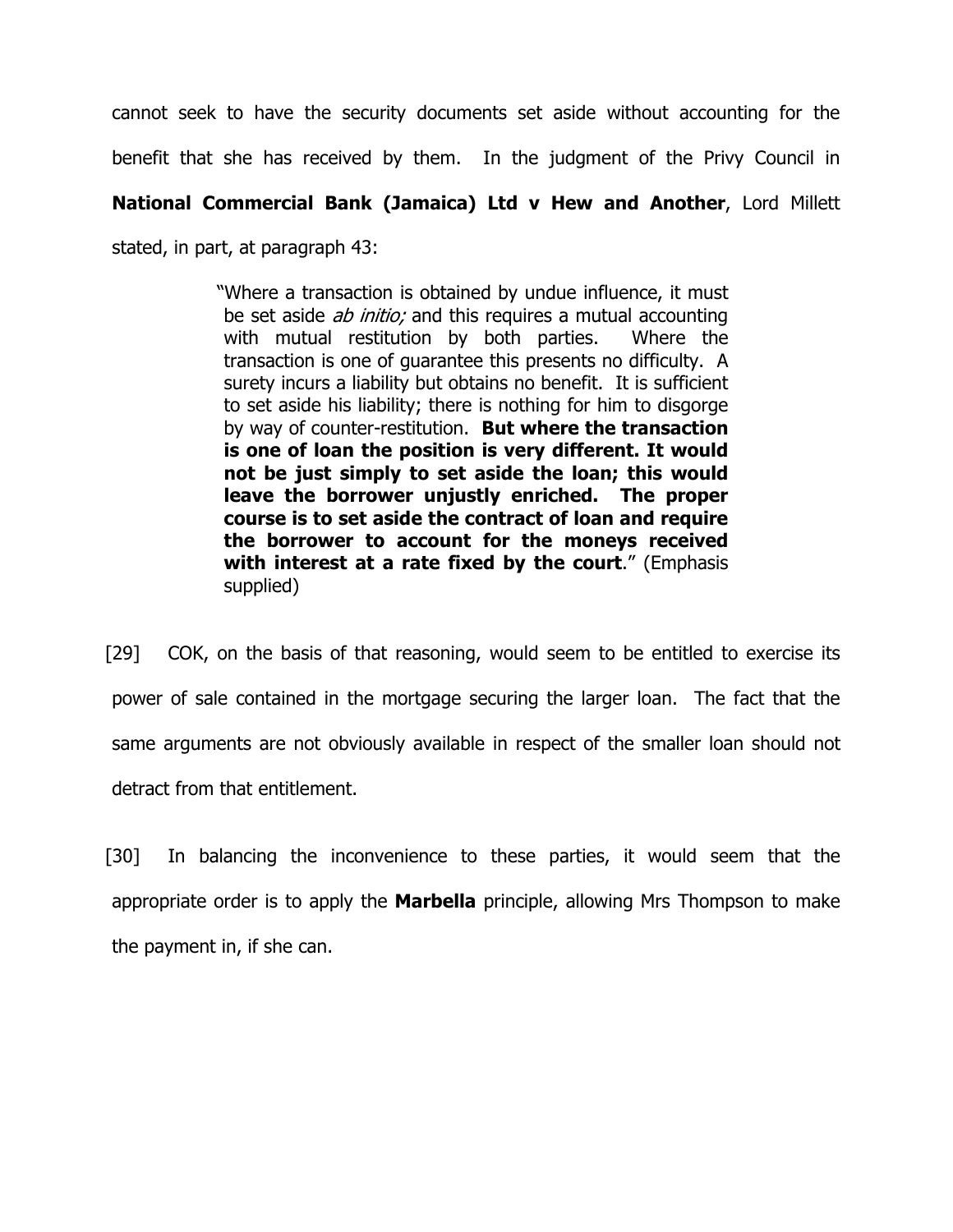cannot seek to have the security documents set aside without accounting for the

benefit that she has received by them. In the judgment of the Privy Council in

# **National Commercial Bank (Jamaica) Ltd v Hew and Another**, Lord Millett

stated, in part, at paragraph 43:

"Where a transaction is obtained by undue influence, it must be set aside *ab initio;* and this requires a mutual accounting with mutual restitution by both parties. Where the transaction is one of guarantee this presents no difficulty. A surety incurs a liability but obtains no benefit. It is sufficient to set aside his liability; there is nothing for him to disgorge by way of counter-restitution. **But where the transaction is one of loan the position is very different. It would not be just simply to set aside the loan; this would leave the borrower unjustly enriched. The proper course is to set aside the contract of loan and require the borrower to account for the moneys received with interest at a rate fixed by the court**." (Emphasis supplied)

[29] COK, on the basis of that reasoning, would seem to be entitled to exercise its power of sale contained in the mortgage securing the larger loan. The fact that the same arguments are not obviously available in respect of the smaller loan should not detract from that entitlement.

[30] In balancing the inconvenience to these parties, it would seem that the appropriate order is to apply the **Marbella** principle, allowing Mrs Thompson to make the payment in, if she can.